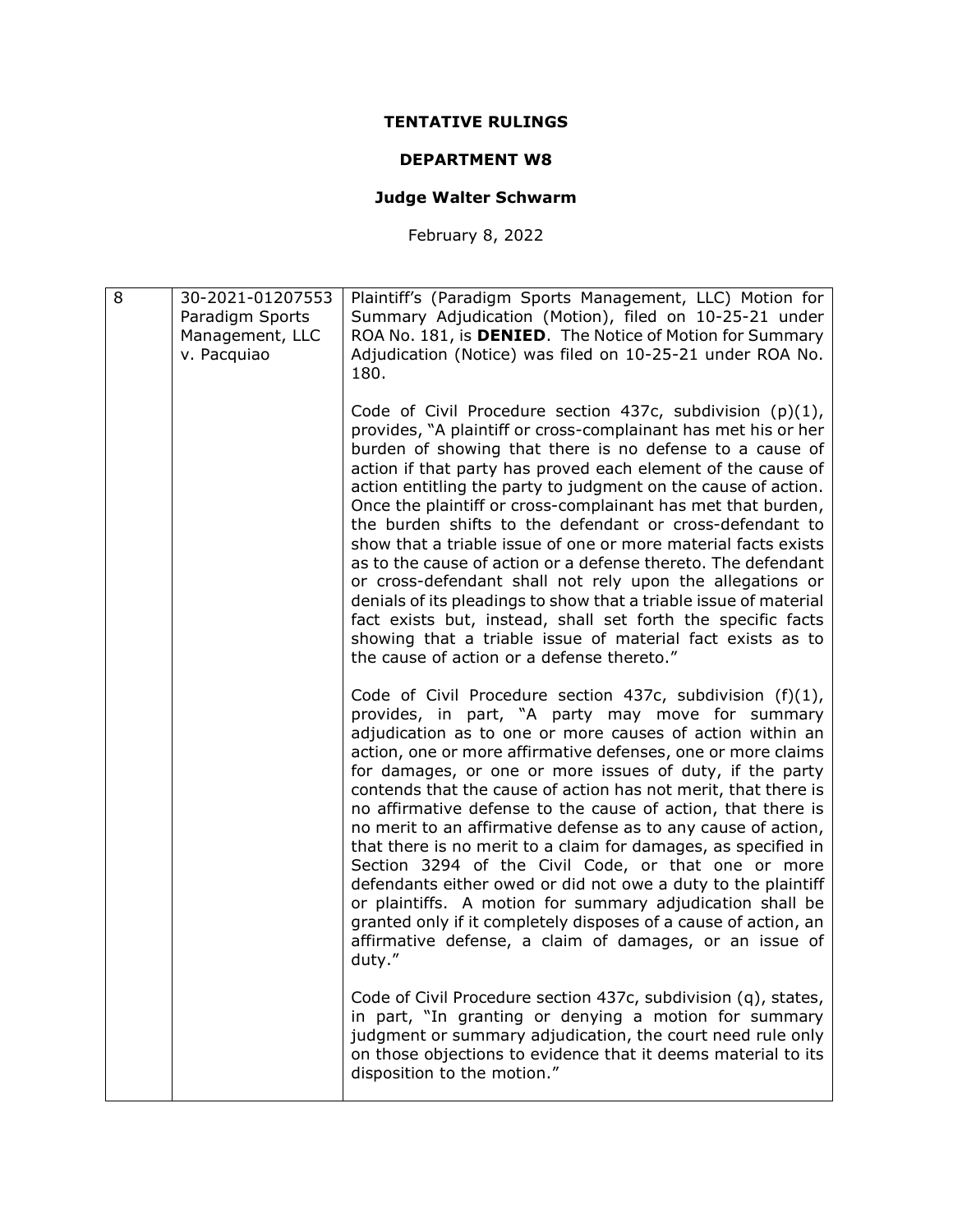## TENTATIVE RULINGS

## DEPARTMENT W8

## Judge Walter Schwarm

February 8, 2022

| 8 | 30-2021-01207553<br>Paradigm Sports<br>Management, LLC<br>v. Pacquiao | Plaintiff's (Paradigm Sports Management, LLC) Motion for<br>Summary Adjudication (Motion), filed on 10-25-21 under<br>ROA No. 181, is DENIED. The Notice of Motion for Summary<br>Adjudication (Notice) was filed on 10-25-21 under ROA No.<br>180.                                                                                                                                                                                                                                                                                                                                                                                                                                                                                                                                                                                                                                                       |
|---|-----------------------------------------------------------------------|-----------------------------------------------------------------------------------------------------------------------------------------------------------------------------------------------------------------------------------------------------------------------------------------------------------------------------------------------------------------------------------------------------------------------------------------------------------------------------------------------------------------------------------------------------------------------------------------------------------------------------------------------------------------------------------------------------------------------------------------------------------------------------------------------------------------------------------------------------------------------------------------------------------|
|   |                                                                       | Code of Civil Procedure section 437c, subdivision $(p)(1)$ ,<br>provides, "A plaintiff or cross-complainant has met his or her<br>burden of showing that there is no defense to a cause of<br>action if that party has proved each element of the cause of<br>action entitling the party to judgment on the cause of action.<br>Once the plaintiff or cross-complainant has met that burden,<br>the burden shifts to the defendant or cross-defendant to<br>show that a triable issue of one or more material facts exists<br>as to the cause of action or a defense thereto. The defendant<br>or cross-defendant shall not rely upon the allegations or<br>denials of its pleadings to show that a triable issue of material<br>fact exists but, instead, shall set forth the specific facts<br>showing that a triable issue of material fact exists as to<br>the cause of action or a defense thereto." |
|   |                                                                       | Code of Civil Procedure section 437c, subdivision (f)(1),<br>provides, in part, "A party may move for summary<br>adjudication as to one or more causes of action within an<br>action, one or more affirmative defenses, one or more claims<br>for damages, or one or more issues of duty, if the party<br>contends that the cause of action has not merit, that there is<br>no affirmative defense to the cause of action, that there is<br>no merit to an affirmative defense as to any cause of action,<br>that there is no merit to a claim for damages, as specified in<br>Section 3294 of the Civil Code, or that one or more<br>defendants either owed or did not owe a duty to the plaintiff<br>or plaintiffs. A motion for summary adjudication shall be<br>granted only if it completely disposes of a cause of action, an<br>affirmative defense, a claim of damages, or an issue of<br>duty."  |
|   |                                                                       | Code of Civil Procedure section 437c, subdivision (q), states,<br>in part, "In granting or denying a motion for summary<br>judgment or summary adjudication, the court need rule only<br>on those objections to evidence that it deems material to its<br>disposition to the motion."                                                                                                                                                                                                                                                                                                                                                                                                                                                                                                                                                                                                                     |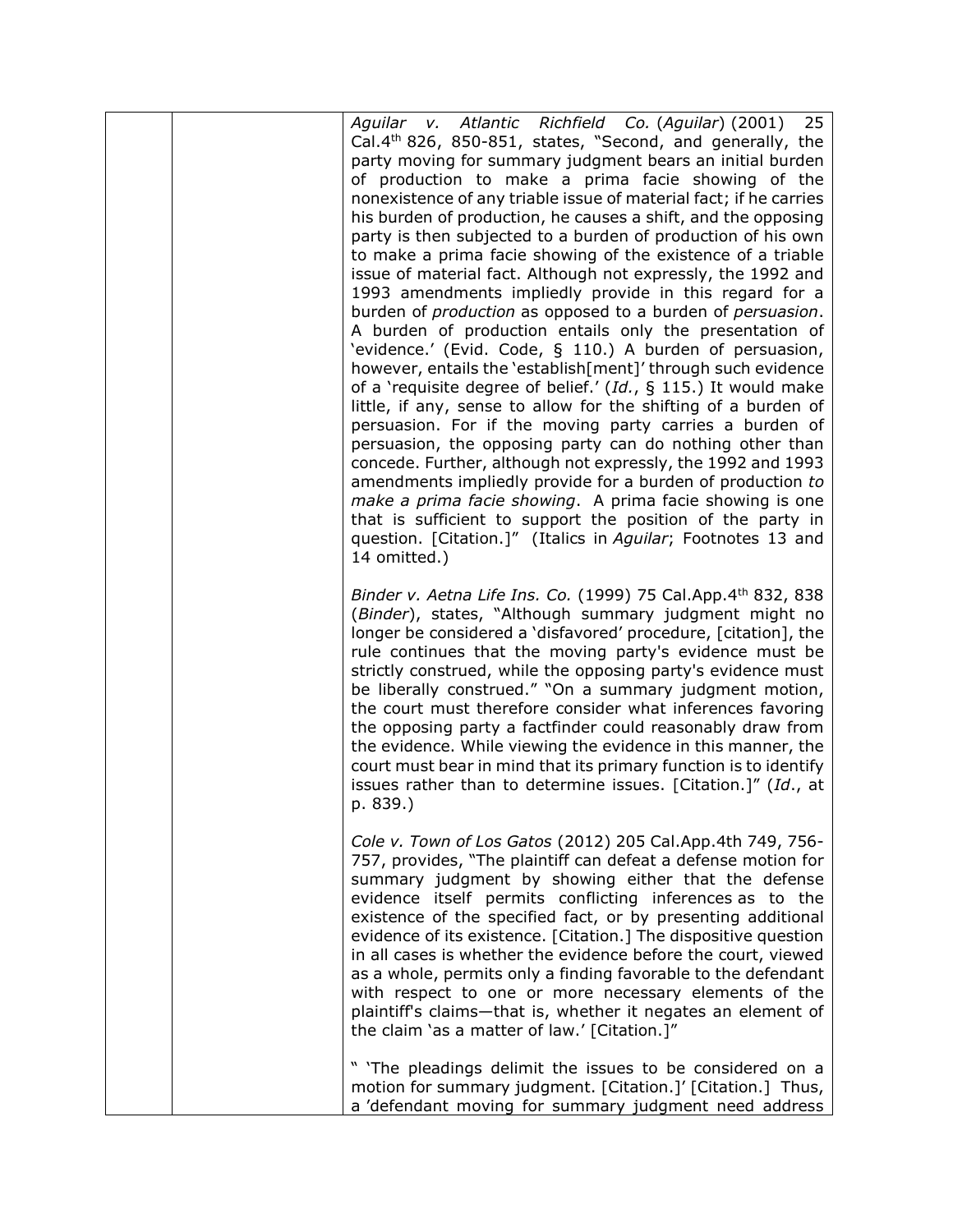|  | Aguilar v. Atlantic Richfield Co. (Aguilar) (2001) 25<br>Cal.4 <sup>th</sup> 826, 850-851, states, "Second, and generally, the<br>party moving for summary judgment bears an initial burden<br>of production to make a prima facie showing of the<br>nonexistence of any triable issue of material fact; if he carries<br>his burden of production, he causes a shift, and the opposing<br>party is then subjected to a burden of production of his own<br>to make a prima facie showing of the existence of a triable<br>issue of material fact. Although not expressly, the 1992 and<br>1993 amendments impliedly provide in this regard for a<br>burden of production as opposed to a burden of persuasion.<br>A burden of production entails only the presentation of<br>'evidence.' (Evid. Code, § 110.) A burden of persuasion,<br>however, entails the 'establish[ment]' through such evidence<br>of a 'requisite degree of belief.' (Id., § 115.) It would make<br>little, if any, sense to allow for the shifting of a burden of<br>persuasion. For if the moving party carries a burden of<br>persuasion, the opposing party can do nothing other than<br>concede. Further, although not expressly, the 1992 and 1993<br>amendments impliedly provide for a burden of production to<br>make a prima facie showing. A prima facie showing is one<br>that is sufficient to support the position of the party in<br>question. [Citation.]" (Italics in Aguilar; Footnotes 13 and<br>14 omitted.) |
|--|---------------------------------------------------------------------------------------------------------------------------------------------------------------------------------------------------------------------------------------------------------------------------------------------------------------------------------------------------------------------------------------------------------------------------------------------------------------------------------------------------------------------------------------------------------------------------------------------------------------------------------------------------------------------------------------------------------------------------------------------------------------------------------------------------------------------------------------------------------------------------------------------------------------------------------------------------------------------------------------------------------------------------------------------------------------------------------------------------------------------------------------------------------------------------------------------------------------------------------------------------------------------------------------------------------------------------------------------------------------------------------------------------------------------------------------------------------------------------------------------------------|
|  | Binder v. Aetna Life Ins. Co. (1999) 75 Cal.App.4th 832, 838<br>(Binder), states, "Although summary judgment might no<br>longer be considered a 'disfavored' procedure, [citation], the<br>rule continues that the moving party's evidence must be<br>strictly construed, while the opposing party's evidence must<br>be liberally construed." "On a summary judgment motion,<br>the court must therefore consider what inferences favoring<br>the opposing party a factfinder could reasonably draw from<br>the evidence. While viewing the evidence in this manner, the<br>court must bear in mind that its primary function is to identify<br>issues rather than to determine issues. [Citation.]" (Id., at<br>p. 839.)                                                                                                                                                                                                                                                                                                                                                                                                                                                                                                                                                                                                                                                                                                                                                                              |
|  | Cole v. Town of Los Gatos (2012) 205 Cal.App.4th 749, 756-<br>757, provides, "The plaintiff can defeat a defense motion for<br>summary judgment by showing either that the defense<br>evidence itself permits conflicting inferences as to the<br>existence of the specified fact, or by presenting additional<br>evidence of its existence. [Citation.] The dispositive question<br>in all cases is whether the evidence before the court, viewed<br>as a whole, permits only a finding favorable to the defendant<br>with respect to one or more necessary elements of the<br>plaintiff's claims-that is, whether it negates an element of<br>the claim 'as a matter of law.' [Citation.]"                                                                                                                                                                                                                                                                                                                                                                                                                                                                                                                                                                                                                                                                                                                                                                                                            |
|  | " 'The pleadings delimit the issues to be considered on a<br>motion for summary judgment. [Citation.]' [Citation.] Thus,<br>a 'defendant moving for summary judgment need address                                                                                                                                                                                                                                                                                                                                                                                                                                                                                                                                                                                                                                                                                                                                                                                                                                                                                                                                                                                                                                                                                                                                                                                                                                                                                                                       |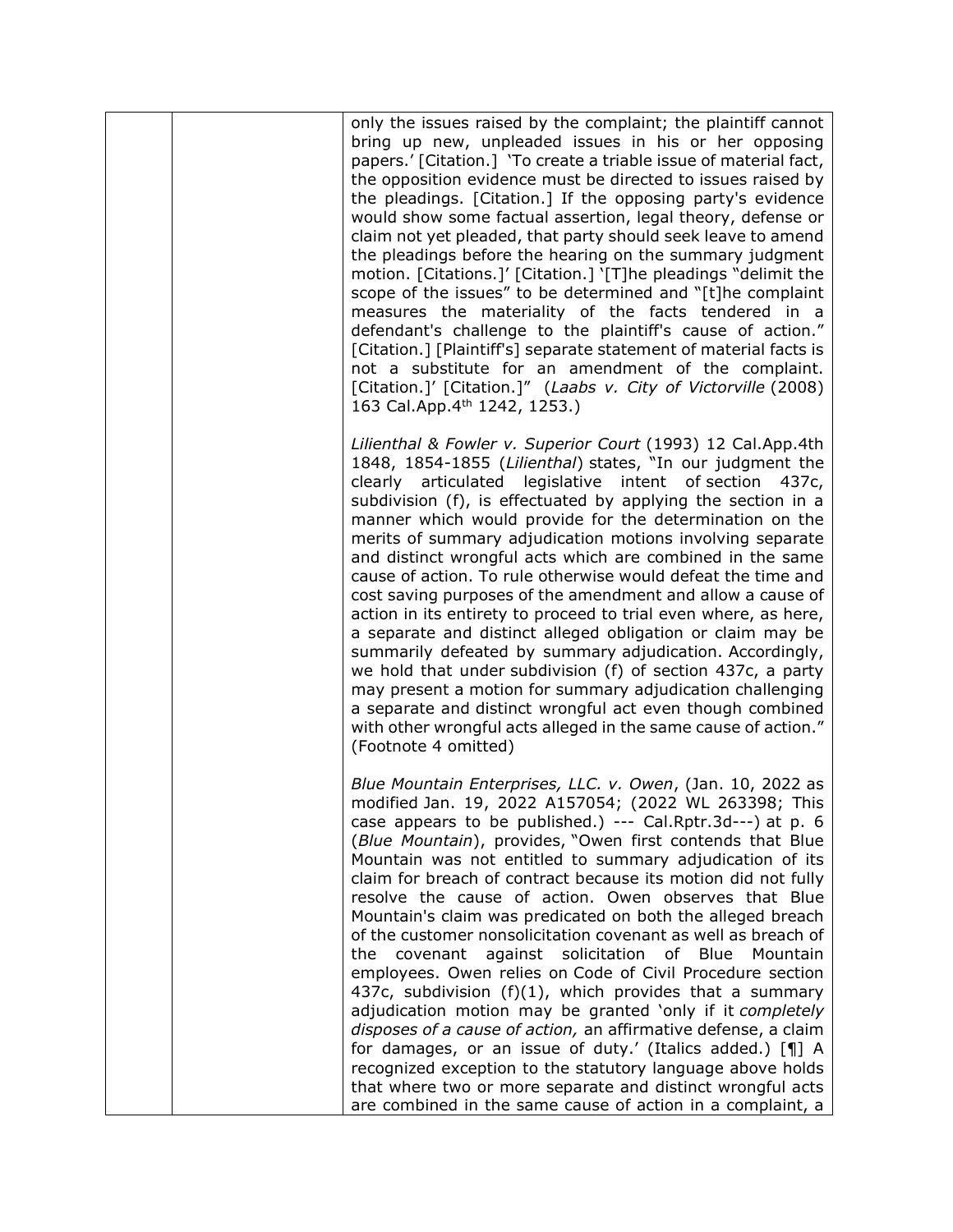| only the issues raised by the complaint; the plaintiff cannot<br>bring up new, unpleaded issues in his or her opposing<br>papers.' [Citation.] 'To create a triable issue of material fact,<br>the opposition evidence must be directed to issues raised by<br>the pleadings. [Citation.] If the opposing party's evidence<br>would show some factual assertion, legal theory, defense or<br>claim not yet pleaded, that party should seek leave to amend<br>the pleadings before the hearing on the summary judgment<br>motion. [Citations.]' [Citation.] '[T]he pleadings "delimit the<br>scope of the issues" to be determined and "[t]he complaint<br>measures the materiality of the facts tendered in a<br>defendant's challenge to the plaintiff's cause of action."<br>[Citation.] [Plaintiff's] separate statement of material facts is<br>not a substitute for an amendment of the complaint.<br>[Citation.]' [Citation.]" (Laabs v. City of Victorville (2008)<br>163 Cal.App.4 <sup>th</sup> 1242, 1253.)                                                                                                                              |
|----------------------------------------------------------------------------------------------------------------------------------------------------------------------------------------------------------------------------------------------------------------------------------------------------------------------------------------------------------------------------------------------------------------------------------------------------------------------------------------------------------------------------------------------------------------------------------------------------------------------------------------------------------------------------------------------------------------------------------------------------------------------------------------------------------------------------------------------------------------------------------------------------------------------------------------------------------------------------------------------------------------------------------------------------------------------------------------------------------------------------------------------------|
| Lilienthal & Fowler v. Superior Court (1993) 12 Cal.App.4th<br>1848, 1854-1855 (Lilienthal) states, "In our judgment the<br>clearly articulated legislative intent of section<br>437c,<br>subdivision (f), is effectuated by applying the section in a<br>manner which would provide for the determination on the<br>merits of summary adjudication motions involving separate<br>and distinct wrongful acts which are combined in the same<br>cause of action. To rule otherwise would defeat the time and<br>cost saving purposes of the amendment and allow a cause of<br>action in its entirety to proceed to trial even where, as here,<br>a separate and distinct alleged obligation or claim may be<br>summarily defeated by summary adjudication. Accordingly,<br>we hold that under subdivision (f) of section 437c, a party<br>may present a motion for summary adjudication challenging<br>a separate and distinct wrongful act even though combined<br>with other wrongful acts alleged in the same cause of action."<br>(Footnote 4 omitted)                                                                                          |
| Blue Mountain Enterprises, LLC. v. Owen, (Jan. 10, 2022 as<br>modified Jan. 19, 2022 A157054; (2022 WL 263398; This<br>case appears to be published.) --- Cal.Rptr.3d---) at p. 6<br>(Blue Mountain), provides, "Owen first contends that Blue<br>Mountain was not entitled to summary adjudication of its<br>claim for breach of contract because its motion did not fully<br>resolve the cause of action. Owen observes that Blue<br>Mountain's claim was predicated on both the alleged breach<br>of the customer nonsolicitation covenant as well as breach of<br>against solicitation of Blue<br>covenant<br>Mountain<br>the<br>employees. Owen relies on Code of Civil Procedure section<br>437c, subdivision $(f)(1)$ , which provides that a summary<br>adjudication motion may be granted 'only if it completely<br>disposes of a cause of action, an affirmative defense, a claim<br>for damages, or an issue of duty.' (Italics added.) [¶] A<br>recognized exception to the statutory language above holds<br>that where two or more separate and distinct wrongful acts<br>are combined in the same cause of action in a complaint, a |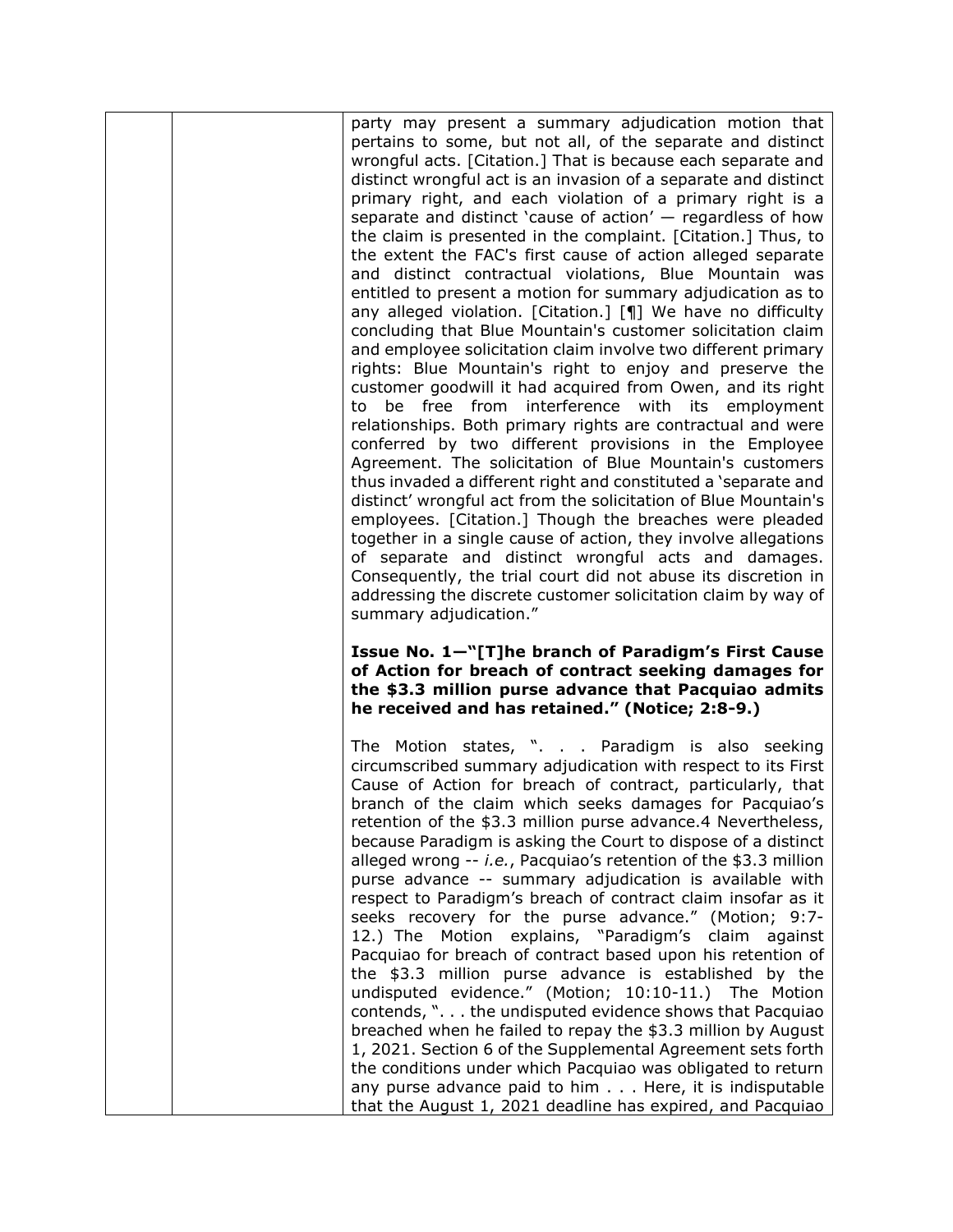|  | party may present a summary adjudication motion that<br>pertains to some, but not all, of the separate and distinct<br>wrongful acts. [Citation.] That is because each separate and<br>distinct wrongful act is an invasion of a separate and distinct<br>primary right, and each violation of a primary right is a<br>separate and distinct 'cause of action' $-$ regardless of how<br>the claim is presented in the complaint. [Citation.] Thus, to<br>the extent the FAC's first cause of action alleged separate<br>and distinct contractual violations, Blue Mountain was<br>entitled to present a motion for summary adjudication as to<br>any alleged violation. [Citation.] [¶] We have no difficulty<br>concluding that Blue Mountain's customer solicitation claim<br>and employee solicitation claim involve two different primary<br>rights: Blue Mountain's right to enjoy and preserve the<br>customer goodwill it had acquired from Owen, and its right<br>to be free from interference with its employment<br>relationships. Both primary rights are contractual and were<br>conferred by two different provisions in the Employee<br>Agreement. The solicitation of Blue Mountain's customers<br>thus invaded a different right and constituted a 'separate and<br>distinct' wrongful act from the solicitation of Blue Mountain's<br>employees. [Citation.] Though the breaches were pleaded<br>together in a single cause of action, they involve allegations<br>of separate and distinct wrongful acts and damages.<br>Consequently, the trial court did not abuse its discretion in<br>addressing the discrete customer solicitation claim by way of<br>summary adjudication." |
|--|-----------------------------------------------------------------------------------------------------------------------------------------------------------------------------------------------------------------------------------------------------------------------------------------------------------------------------------------------------------------------------------------------------------------------------------------------------------------------------------------------------------------------------------------------------------------------------------------------------------------------------------------------------------------------------------------------------------------------------------------------------------------------------------------------------------------------------------------------------------------------------------------------------------------------------------------------------------------------------------------------------------------------------------------------------------------------------------------------------------------------------------------------------------------------------------------------------------------------------------------------------------------------------------------------------------------------------------------------------------------------------------------------------------------------------------------------------------------------------------------------------------------------------------------------------------------------------------------------------------------------------------------------------------------------------------------------------|
|  | Issue No. 1-"[T]he branch of Paradigm's First Cause<br>of Action for breach of contract seeking damages for<br>the \$3.3 million purse advance that Pacquiao admits<br>he received and has retained." (Notice; 2:8-9.)                                                                                                                                                                                                                                                                                                                                                                                                                                                                                                                                                                                                                                                                                                                                                                                                                                                                                                                                                                                                                                                                                                                                                                                                                                                                                                                                                                                                                                                                              |
|  | The Motion states, ". Paradigm is also seeking<br>circumscribed summary adjudication with respect to its First<br>Cause of Action for breach of contract, particularly, that<br>branch of the claim which seeks damages for Pacquiao's<br>retention of the \$3.3 million purse advance.4 Nevertheless,<br>because Paradigm is asking the Court to dispose of a distinct<br>alleged wrong -- i.e., Pacquiao's retention of the \$3.3 million<br>purse advance -- summary adjudication is available with<br>respect to Paradigm's breach of contract claim insofar as it<br>seeks recovery for the purse advance." (Motion; 9:7-<br>12.) The Motion explains, "Paradigm's claim against<br>Pacquiao for breach of contract based upon his retention of<br>the \$3.3 million purse advance is established by the<br>undisputed evidence." (Motion; 10:10-11.) The Motion                                                                                                                                                                                                                                                                                                                                                                                                                                                                                                                                                                                                                                                                                                                                                                                                                               |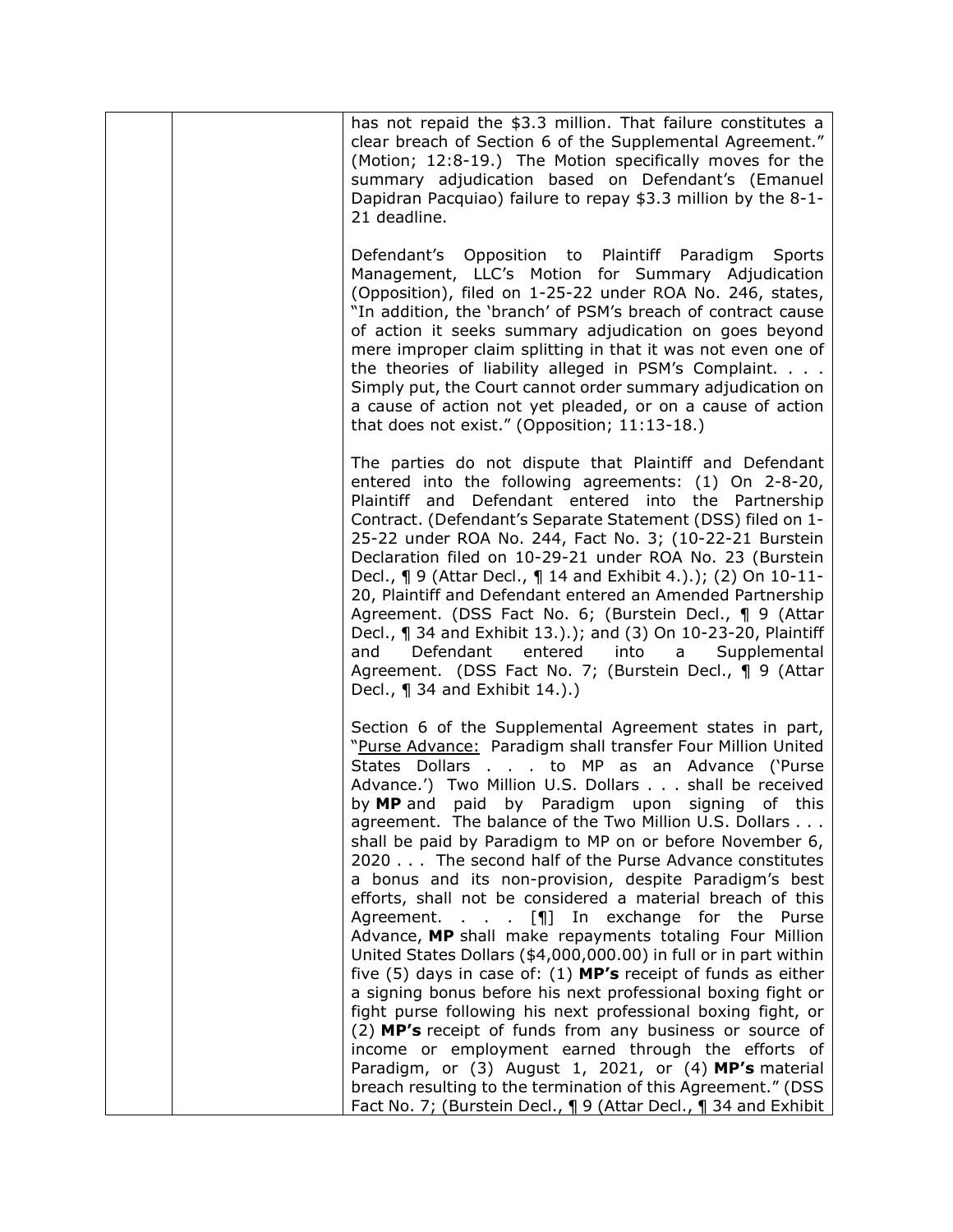|  | has not repaid the \$3.3 million. That failure constitutes a<br>clear breach of Section 6 of the Supplemental Agreement."<br>(Motion; 12:8-19.) The Motion specifically moves for the<br>summary adjudication based on Defendant's (Emanuel<br>Dapidran Pacquiao) failure to repay \$3.3 million by the 8-1-<br>21 deadline.                                                                                                                                                                                                                                                                                                                                                                                                                                                                                                                                                                                                                                                                                                                                                                                                                                                                                                                                                                                |
|--|-------------------------------------------------------------------------------------------------------------------------------------------------------------------------------------------------------------------------------------------------------------------------------------------------------------------------------------------------------------------------------------------------------------------------------------------------------------------------------------------------------------------------------------------------------------------------------------------------------------------------------------------------------------------------------------------------------------------------------------------------------------------------------------------------------------------------------------------------------------------------------------------------------------------------------------------------------------------------------------------------------------------------------------------------------------------------------------------------------------------------------------------------------------------------------------------------------------------------------------------------------------------------------------------------------------|
|  | Defendant's Opposition to Plaintiff Paradigm Sports<br>Management, LLC's Motion for Summary Adjudication<br>(Opposition), filed on 1-25-22 under ROA No. 246, states,<br>"In addition, the 'branch' of PSM's breach of contract cause<br>of action it seeks summary adjudication on goes beyond<br>mere improper claim splitting in that it was not even one of<br>the theories of liability alleged in PSM's Complaint.<br>Simply put, the Court cannot order summary adjudication on<br>a cause of action not yet pleaded, or on a cause of action<br>that does not exist." (Opposition; 11:13-18.)                                                                                                                                                                                                                                                                                                                                                                                                                                                                                                                                                                                                                                                                                                       |
|  | The parties do not dispute that Plaintiff and Defendant<br>entered into the following agreements: (1) On 2-8-20,<br>Plaintiff and Defendant entered into the Partnership<br>Contract. (Defendant's Separate Statement (DSS) filed on 1-<br>25-22 under ROA No. 244, Fact No. 3; (10-22-21 Burstein<br>Declaration filed on 10-29-21 under ROA No. 23 (Burstein<br>Decl., ¶ 9 (Attar Decl., ¶ 14 and Exhibit 4.).); (2) On 10-11-<br>20, Plaintiff and Defendant entered an Amended Partnership<br>Agreement. (DSS Fact No. 6; (Burstein Decl., 19 (Attar<br>Decl., ¶ 34 and Exhibit 13.).); and (3) On 10-23-20, Plaintiff<br>Defendant<br>entered<br>and<br>into<br>Supplemental<br>$a \rightarrow$<br>Agreement. (DSS Fact No. 7; (Burstein Decl., 19 (Attar<br>Decl., $\P$ 34 and Exhibit 14.).)                                                                                                                                                                                                                                                                                                                                                                                                                                                                                                         |
|  | Section 6 of the Supplemental Agreement states in part,<br>"Purse Advance: Paradigm shall transfer Four Million United<br>States Dollars to MP as an Advance ('Purse<br>Advance.') Two Million U.S. Dollars shall be received<br>by MP and paid by Paradigm upon signing of this<br>agreement. The balance of the Two Million U.S. Dollars<br>shall be paid by Paradigm to MP on or before November 6,<br>2020 The second half of the Purse Advance constitutes<br>a bonus and its non-provision, despite Paradigm's best<br>efforts, shall not be considered a material breach of this<br>Agreement. $\ldots$ [¶] In exchange for the<br>Purse<br>Advance, MP shall make repayments totaling Four Million<br>United States Dollars (\$4,000,000.00) in full or in part within<br>five $(5)$ days in case of: $(1)$ MP's receipt of funds as either<br>a signing bonus before his next professional boxing fight or<br>fight purse following his next professional boxing fight, or<br>(2) MP's receipt of funds from any business or source of<br>income or employment earned through the efforts of<br>Paradigm, or $(3)$ August 1, 2021, or $(4)$ MP's material<br>breach resulting to the termination of this Agreement." (DSS<br>Fact No. 7; (Burstein Decl., $\P$ 9 (Attar Decl., $\P$ 34 and Exhibit |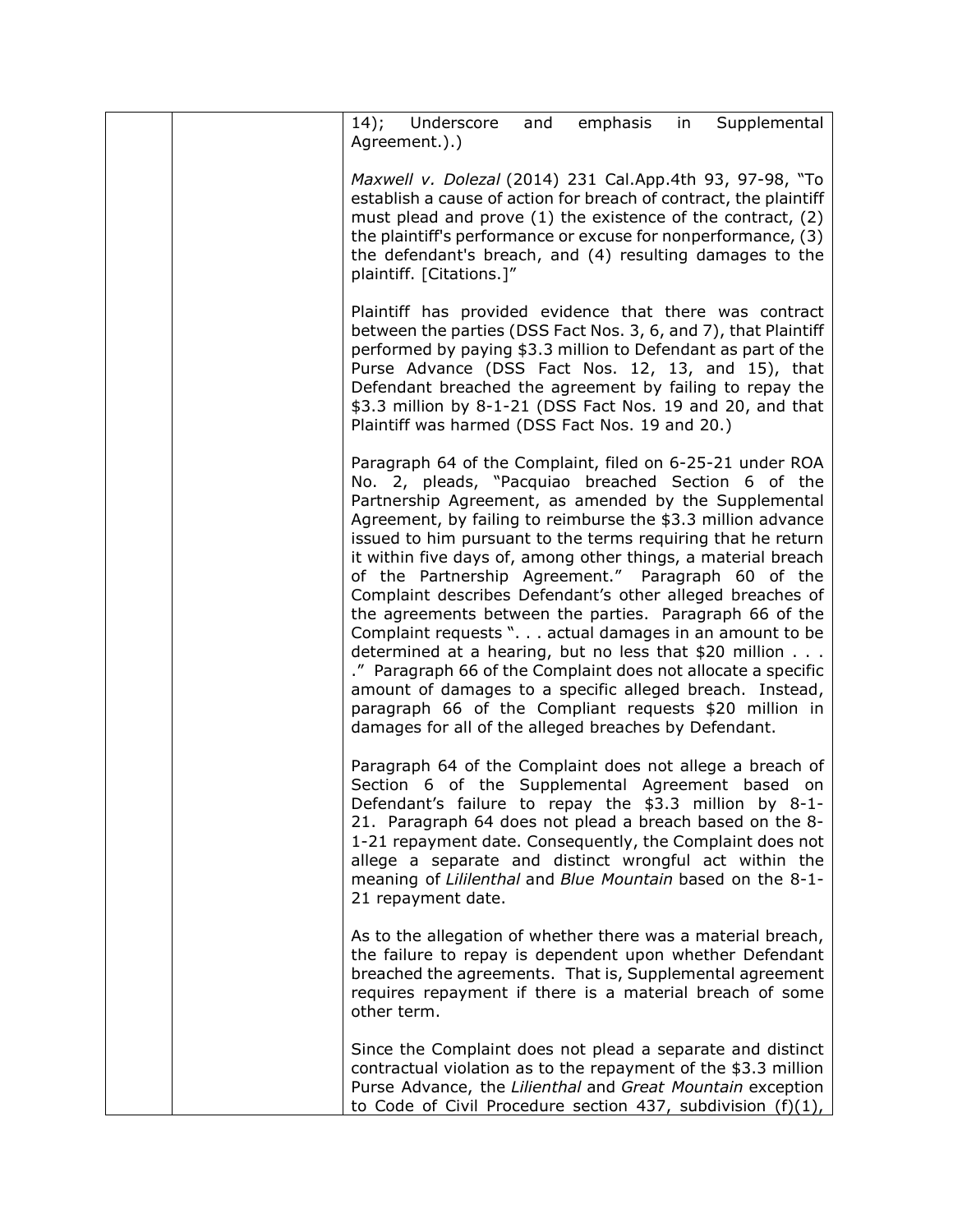| 14); Underscore<br>Supplemental<br>emphasis<br>and<br>in<br>Agreement.).)                                                                                                                                                                                                                                                                                                                                                                                                                                                                                                                                                                                                                                                                                                                                                                                                                                                    |
|------------------------------------------------------------------------------------------------------------------------------------------------------------------------------------------------------------------------------------------------------------------------------------------------------------------------------------------------------------------------------------------------------------------------------------------------------------------------------------------------------------------------------------------------------------------------------------------------------------------------------------------------------------------------------------------------------------------------------------------------------------------------------------------------------------------------------------------------------------------------------------------------------------------------------|
| Maxwell v. Dolezal (2014) 231 Cal.App.4th 93, 97-98, "To<br>establish a cause of action for breach of contract, the plaintiff<br>must plead and prove (1) the existence of the contract, (2)<br>the plaintiff's performance or excuse for nonperformance, (3)<br>the defendant's breach, and (4) resulting damages to the<br>plaintiff. [Citations.]"                                                                                                                                                                                                                                                                                                                                                                                                                                                                                                                                                                        |
| Plaintiff has provided evidence that there was contract<br>between the parties (DSS Fact Nos. 3, 6, and 7), that Plaintiff<br>performed by paying \$3.3 million to Defendant as part of the<br>Purse Advance (DSS Fact Nos. 12, 13, and 15), that<br>Defendant breached the agreement by failing to repay the<br>\$3.3 million by 8-1-21 (DSS Fact Nos. 19 and 20, and that<br>Plaintiff was harmed (DSS Fact Nos. 19 and 20.)                                                                                                                                                                                                                                                                                                                                                                                                                                                                                               |
| Paragraph 64 of the Complaint, filed on 6-25-21 under ROA<br>No. 2, pleads, "Pacquiao breached Section 6 of the<br>Partnership Agreement, as amended by the Supplemental<br>Agreement, by failing to reimburse the \$3.3 million advance<br>issued to him pursuant to the terms requiring that he return<br>it within five days of, among other things, a material breach<br>of the Partnership Agreement." Paragraph 60 of the<br>Complaint describes Defendant's other alleged breaches of<br>the agreements between the parties. Paragraph 66 of the<br>Complaint requests ". actual damages in an amount to be<br>determined at a hearing, but no less that \$20 million<br>." Paragraph 66 of the Complaint does not allocate a specific<br>amount of damages to a specific alleged breach. Instead,<br>paragraph 66 of the Compliant requests \$20 million in<br>damages for all of the alleged breaches by Defendant. |
| Paragraph 64 of the Complaint does not allege a breach of<br>Section 6 of the Supplemental Agreement based on<br>Defendant's failure to repay the \$3.3 million by 8-1-<br>21. Paragraph 64 does not plead a breach based on the 8-<br>1-21 repayment date. Consequently, the Complaint does not<br>allege a separate and distinct wrongful act within the<br>meaning of Lililenthal and Blue Mountain based on the 8-1-<br>21 repayment date.                                                                                                                                                                                                                                                                                                                                                                                                                                                                               |
| As to the allegation of whether there was a material breach,<br>the failure to repay is dependent upon whether Defendant<br>breached the agreements. That is, Supplemental agreement<br>requires repayment if there is a material breach of some<br>other term.                                                                                                                                                                                                                                                                                                                                                                                                                                                                                                                                                                                                                                                              |
| Since the Complaint does not plead a separate and distinct<br>contractual violation as to the repayment of the \$3.3 million<br>Purse Advance, the Lilienthal and Great Mountain exception<br>to Code of Civil Procedure section 437, subdivision $(f)(1)$ ,                                                                                                                                                                                                                                                                                                                                                                                                                                                                                                                                                                                                                                                                 |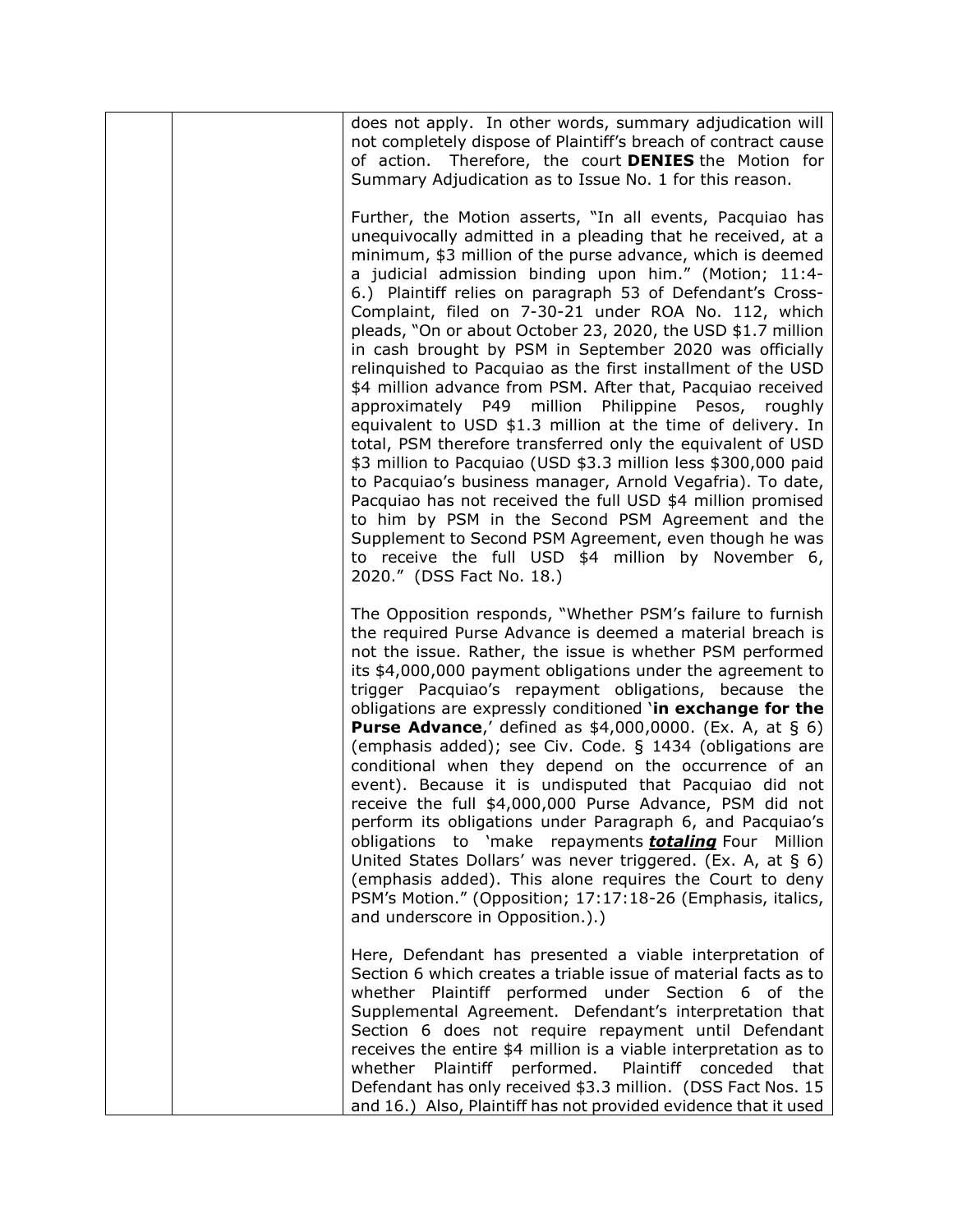| does not apply. In other words, summary adjudication will<br>not completely dispose of Plaintiff's breach of contract cause<br>of action. Therefore, the court <b>DENIES</b> the Motion for<br>Summary Adjudication as to Issue No. 1 for this reason.                                                                                                                                                                                                                                                                                                                                                                                                                                                                                                                                                                                                                                                                                                                                                                                                                                                                                                                                                                 |
|------------------------------------------------------------------------------------------------------------------------------------------------------------------------------------------------------------------------------------------------------------------------------------------------------------------------------------------------------------------------------------------------------------------------------------------------------------------------------------------------------------------------------------------------------------------------------------------------------------------------------------------------------------------------------------------------------------------------------------------------------------------------------------------------------------------------------------------------------------------------------------------------------------------------------------------------------------------------------------------------------------------------------------------------------------------------------------------------------------------------------------------------------------------------------------------------------------------------|
| Further, the Motion asserts, "In all events, Pacquiao has<br>unequivocally admitted in a pleading that he received, at a<br>minimum, \$3 million of the purse advance, which is deemed<br>a judicial admission binding upon him." (Motion; 11:4-<br>6.) Plaintiff relies on paragraph 53 of Defendant's Cross-<br>Complaint, filed on 7-30-21 under ROA No. 112, which<br>pleads, "On or about October 23, 2020, the USD \$1.7 million<br>in cash brought by PSM in September 2020 was officially<br>relinguished to Pacquiao as the first installment of the USD<br>\$4 million advance from PSM. After that, Pacquiao received<br>approximately P49 million Philippine Pesos, roughly<br>equivalent to USD \$1.3 million at the time of delivery. In<br>total, PSM therefore transferred only the equivalent of USD<br>\$3 million to Pacquiao (USD \$3.3 million less \$300,000 paid<br>to Pacquiao's business manager, Arnold Vegafria). To date,<br>Pacquiao has not received the full USD \$4 million promised<br>to him by PSM in the Second PSM Agreement and the<br>Supplement to Second PSM Agreement, even though he was<br>to receive the full USD \$4 million by November 6,<br>2020." (DSS Fact No. 18.) |
| The Opposition responds, "Whether PSM's failure to furnish<br>the required Purse Advance is deemed a material breach is<br>not the issue. Rather, the issue is whether PSM performed<br>its \$4,000,000 payment obligations under the agreement to<br>trigger Pacquiao's repayment obligations, because the<br>obligations are expressly conditioned 'in exchange for the<br><b>Purse Advance,'</b> defined as $$4,000,0000$ . (Ex. A, at $§$ 6)<br>(emphasis added); see Civ. Code. § 1434 (obligations are<br>conditional when they depend on the occurrence of an<br>event). Because it is undisputed that Pacquiao did not<br>receive the full \$4,000,000 Purse Advance, PSM did not<br>perform its obligations under Paragraph 6, and Pacquiao's<br>obligations to 'make repayments <b>totaling</b> Four Million<br>United States Dollars' was never triggered. (Ex. A, at § 6)<br>(emphasis added). This alone requires the Court to deny<br>PSM's Motion." (Opposition; 17:17:18-26 (Emphasis, italics,<br>and underscore in Opposition.).)                                                                                                                                                                    |
| Here, Defendant has presented a viable interpretation of<br>Section 6 which creates a triable issue of material facts as to<br>whether Plaintiff performed under Section 6 of the<br>Supplemental Agreement. Defendant's interpretation that<br>Section 6 does not require repayment until Defendant<br>receives the entire \$4 million is a viable interpretation as to<br>whether<br>Plaintiff<br>performed.<br>Plaintiff conceded<br>that<br>Defendant has only received \$3.3 million. (DSS Fact Nos. 15<br>and 16.) Also, Plaintiff has not provided evidence that it used                                                                                                                                                                                                                                                                                                                                                                                                                                                                                                                                                                                                                                        |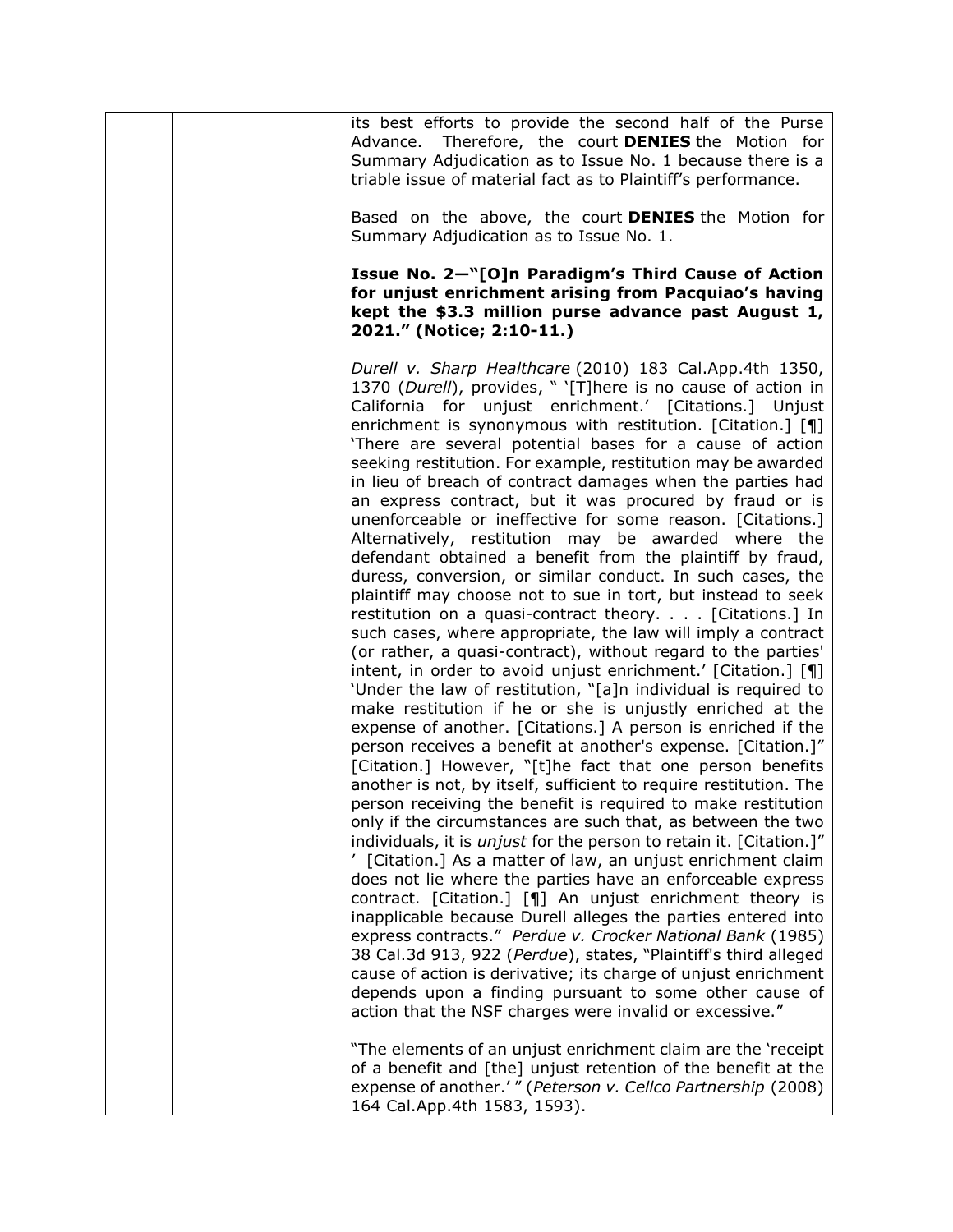| its best efforts to provide the second half of the Purse<br>Advance. Therefore, the court DENIES the Motion for<br>Summary Adjudication as to Issue No. 1 because there is a<br>triable issue of material fact as to Plaintiff's performance.                                                                                                                                                                                                                                                                                                                                                                                                                                                                                                                                                                                                                                                                                                                                                                                                                                                                                                                                                                                                                                                                                                                                                                                                                                                                                                                                                                                                                                                                                                                                                                                                                                                                                                                                                                                                                                                                                                                                                                        |
|----------------------------------------------------------------------------------------------------------------------------------------------------------------------------------------------------------------------------------------------------------------------------------------------------------------------------------------------------------------------------------------------------------------------------------------------------------------------------------------------------------------------------------------------------------------------------------------------------------------------------------------------------------------------------------------------------------------------------------------------------------------------------------------------------------------------------------------------------------------------------------------------------------------------------------------------------------------------------------------------------------------------------------------------------------------------------------------------------------------------------------------------------------------------------------------------------------------------------------------------------------------------------------------------------------------------------------------------------------------------------------------------------------------------------------------------------------------------------------------------------------------------------------------------------------------------------------------------------------------------------------------------------------------------------------------------------------------------------------------------------------------------------------------------------------------------------------------------------------------------------------------------------------------------------------------------------------------------------------------------------------------------------------------------------------------------------------------------------------------------------------------------------------------------------------------------------------------------|
| Based on the above, the court <b>DENIES</b> the Motion for<br>Summary Adjudication as to Issue No. 1.                                                                                                                                                                                                                                                                                                                                                                                                                                                                                                                                                                                                                                                                                                                                                                                                                                                                                                                                                                                                                                                                                                                                                                                                                                                                                                                                                                                                                                                                                                                                                                                                                                                                                                                                                                                                                                                                                                                                                                                                                                                                                                                |
| Issue No. 2-"[O]n Paradigm's Third Cause of Action<br>for unjust enrichment arising from Pacquiao's having<br>kept the \$3.3 million purse advance past August 1,<br>2021." (Notice; 2:10-11.)                                                                                                                                                                                                                                                                                                                                                                                                                                                                                                                                                                                                                                                                                                                                                                                                                                                                                                                                                                                                                                                                                                                                                                                                                                                                                                                                                                                                                                                                                                                                                                                                                                                                                                                                                                                                                                                                                                                                                                                                                       |
| Durell v. Sharp Healthcare (2010) 183 Cal.App.4th 1350,<br>1370 (Durell), provides, " '[T]here is no cause of action in<br>California for unjust enrichment.' [Citations.] Unjust<br>enrichment is synonymous with restitution. [Citation.] [¶]<br>'There are several potential bases for a cause of action<br>seeking restitution. For example, restitution may be awarded<br>in lieu of breach of contract damages when the parties had<br>an express contract, but it was procured by fraud or is<br>unenforceable or ineffective for some reason. [Citations.]<br>Alternatively, restitution may be awarded where the<br>defendant obtained a benefit from the plaintiff by fraud,<br>duress, conversion, or similar conduct. In such cases, the<br>plaintiff may choose not to sue in tort, but instead to seek<br>restitution on a quasi-contract theory. [Citations.] In<br>such cases, where appropriate, the law will imply a contract<br>(or rather, a quasi-contract), without regard to the parties'<br>intent, in order to avoid unjust enrichment.' [Citation.] [¶]<br>'Under the law of restitution, "[a]n individual is required to<br>make restitution if he or she is unjustly enriched at the<br>expense of another. [Citations.] A person is enriched if the<br>person receives a benefit at another's expense. [Citation.]"<br>[Citation.] However, "[t]he fact that one person benefits<br>another is not, by itself, sufficient to require restitution. The<br>person receiving the benefit is required to make restitution<br>only if the circumstances are such that, as between the two<br>individuals, it is <i>unjust</i> for the person to retain it. [Citation.]"<br>[Citation.] As a matter of law, an unjust enrichment claim<br>does not lie where the parties have an enforceable express<br>contract. [Citation.] [¶] An unjust enrichment theory is<br>inapplicable because Durell alleges the parties entered into<br>express contracts." Perdue v. Crocker National Bank (1985)<br>38 Cal.3d 913, 922 (Perdue), states, "Plaintiff's third alleged<br>cause of action is derivative; its charge of unjust enrichment<br>depends upon a finding pursuant to some other cause of |
| action that the NSF charges were invalid or excessive."<br>"The elements of an unjust enrichment claim are the 'receipt<br>of a benefit and [the] unjust retention of the benefit at the<br>expense of another.'" (Peterson v. Cellco Partnership (2008)<br>164 Cal.App.4th 1583, 1593).                                                                                                                                                                                                                                                                                                                                                                                                                                                                                                                                                                                                                                                                                                                                                                                                                                                                                                                                                                                                                                                                                                                                                                                                                                                                                                                                                                                                                                                                                                                                                                                                                                                                                                                                                                                                                                                                                                                             |